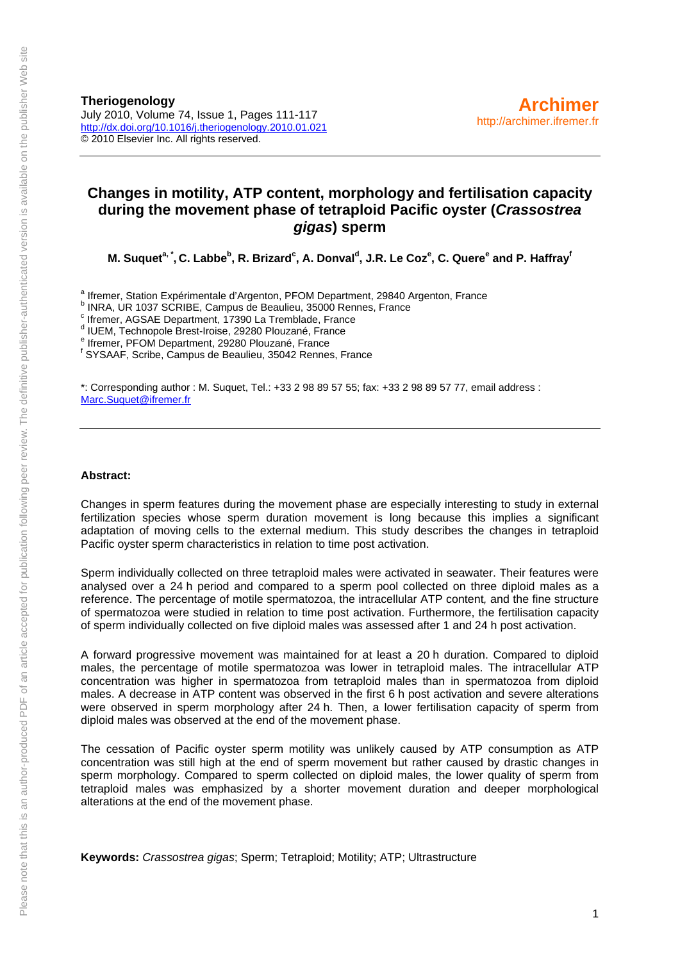**Theriogenology**  July 2010, Volume 74, Issue 1, Pages 111-117 <http://dx.doi.org/10.1016/j.theriogenology.2010.01.021> © 2010 Elsevier Inc. All rights reserved.

#### **Changes in motility, ATP content, morphology and fertilisation capacity during the movement phase of tetraploid Pacific oyster (***Crassostrea gigas***) sperm**

**M. Suquet<sup>a,\*</sup>, C. Labbe<sup>b</sup>, R. Brizard<sup>c</sup>, A. Donval<sup>d</sup>, J.R. Le Coz<sup>e</sup>, C. Quere<sup>e</sup> and P. Haffray<sup>t</sup>** 

a Ifremer, Station Expérimentale d'Argenton, PFOM Department, 29840 Argenton, France<br>b INDA LIB 1937 SCRIPE, Compus de Beaulieu, 25000 Bennes, France

**INRA, UR 1037 SCRIBE, Campus de Beaulieu, 35000 Rennes, France** 

c Ifremer, AGSAE Department, 17390 La Tremblade, France

d IUEM, Technopole Brest-Iroise, 29280 Plouzané, France

e Ifremer, PFOM Department, 29280 Plouzané, France

f SYSAAF, Scribe, Campus de Beaulieu, 35042 Rennes, France

\*: Corresponding author : M. Suquet, Tel.: +33 2 98 89 57 55; fax: +33 2 98 89 57 77, email address : [Marc.Suquet@ifremer.fr](mailto:Marc.Suquet@ifremer.fr)

#### **Abstract:**

Changes in sperm features during the movement phase are especially interesting to study in external fertilization species whose sperm duration movement is long because this implies a significant adaptation of moving cells to the external medium. This study describes the changes in tetraploid Pacific oyster sperm characteristics in relation to time post activation.

Sperm individually collected on three tetraploid males were activated in seawater. Their features were analysed over a 24 h period and compared to a sperm pool collected on three diploid males as a reference. The percentage of motile spermatozoa, the intracellular ATP content*,* and the fine structure of spermatozoa were studied in relation to time post activation. Furthermore, the fertilisation capacity of sperm individually collected on five diploid males was assessed after 1 and 24 h post activation.

A forward progressive movement was maintained for at least a 20 h duration. Compared to diploid males, the percentage of motile spermatozoa was lower in tetraploid males. The intracellular ATP concentration was higher in spermatozoa from tetraploid males than in spermatozoa from diploid males. A decrease in ATP content was observed in the first 6 h post activation and severe alterations were observed in sperm morphology after 24 h. Then, a lower fertilisation capacity of sperm from diploid males was observed at the end of the movement phase.

The cessation of Pacific oyster sperm motility was unlikely caused by ATP consumption as ATP concentration was still high at the end of sperm movement but rather caused by drastic changes in sperm morphology. Compared to sperm collected on diploid males, the lower quality of sperm from tetraploid males was emphasized by a shorter movement duration and deeper morphological alterations at the end of the movement phase.

**Keywords:** *Crassostrea gigas*; Sperm; Tetraploid; Motility; ATP; Ultrastructure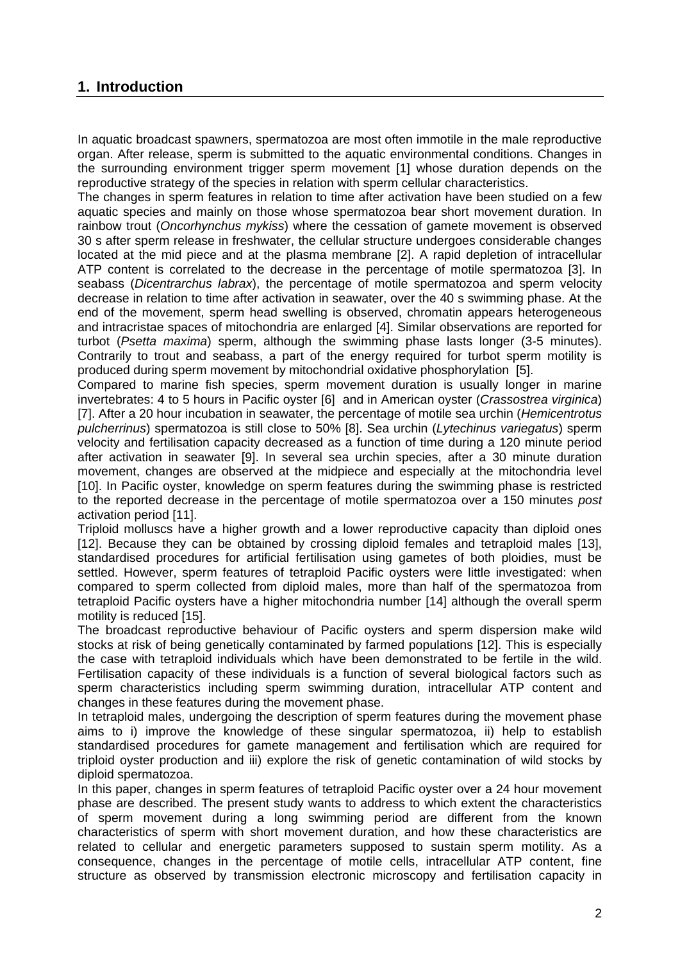#### **1. Introduction**

In aquatic broadcast spawners, spermatozoa are most often immotile in the male reproductive organ. After release, sperm is submitted to the aquatic environmental conditions. Changes in the surrounding environment trigger sperm movement [1] whose duration depends on the reproductive strategy of the species in relation with sperm cellular characteristics.

The changes in sperm features in relation to time after activation have been studied on a few aquatic species and mainly on those whose spermatozoa bear short movement duration. In rainbow trout (*Oncorhynchus mykiss*) where the cessation of gamete movement is observed 30 s after sperm release in freshwater, the cellular structure undergoes considerable changes located at the mid piece and at the plasma membrane [2]. A rapid depletion of intracellular ATP content is correlated to the decrease in the percentage of motile spermatozoa [3]. In seabass (*Dicentrarchus labrax*), the percentage of motile spermatozoa and sperm velocity decrease in relation to time after activation in seawater, over the 40 s swimming phase. At the end of the movement, sperm head swelling is observed, chromatin appears heterogeneous and intracristae spaces of mitochondria are enlarged [4]. Similar observations are reported for turbot (*Psetta maxima*) sperm, although the swimming phase lasts longer (3-5 minutes). Contrarily to trout and seabass, a part of the energy required for turbot sperm motility is produced during sperm movement by mitochondrial oxidative phosphorylation [5].

Compared to marine fish species, sperm movement duration is usually longer in marine invertebrates: 4 to 5 hours in Pacific oyster [6] and in American oyster (*Crassostrea virginica*) [7]. After a 20 hour incubation in seawater, the percentage of motile sea urchin (*Hemicentrotus pulcherrinus*) spermatozoa is still close to 50% [8]. Sea urchin (*Lytechinus variegatus*) sperm velocity and fertilisation capacity decreased as a function of time during a 120 minute period after activation in seawater [9]. In several sea urchin species, after a 30 minute duration movement, changes are observed at the midpiece and especially at the mitochondria level [10]. In Pacific oyster, knowledge on sperm features during the swimming phase is restricted to the reported decrease in the percentage of motile spermatozoa over a 150 minutes *post* activation period [11].

Triploid molluscs have a higher growth and a lower reproductive capacity than diploid ones [12]. Because they can be obtained by crossing diploid females and tetraploid males [13], standardised procedures for artificial fertilisation using gametes of both ploidies, must be settled. However, sperm features of tetraploid Pacific oysters were little investigated: when compared to sperm collected from diploid males, more than half of the spermatozoa from tetraploid Pacific oysters have a higher mitochondria number [14] although the overall sperm motility is reduced [15].

The broadcast reproductive behaviour of Pacific oysters and sperm dispersion make wild stocks at risk of being genetically contaminated by farmed populations [12]. This is especially the case with tetraploid individuals which have been demonstrated to be fertile in the wild. Fertilisation capacity of these individuals is a function of several biological factors such as sperm characteristics including sperm swimming duration, intracellular ATP content and changes in these features during the movement phase.

In tetraploid males, undergoing the description of sperm features during the movement phase aims to i) improve the knowledge of these singular spermatozoa, ii) help to establish standardised procedures for gamete management and fertilisation which are required for triploid oyster production and iii) explore the risk of genetic contamination of wild stocks by diploid spermatozoa.

In this paper, changes in sperm features of tetraploid Pacific oyster over a 24 hour movement phase are described. The present study wants to address to which extent the characteristics of sperm movement during a long swimming period are different from the known characteristics of sperm with short movement duration, and how these characteristics are related to cellular and energetic parameters supposed to sustain sperm motility. As a consequence, changes in the percentage of motile cells, intracellular ATP content, fine structure as observed by transmission electronic microscopy and fertilisation capacity in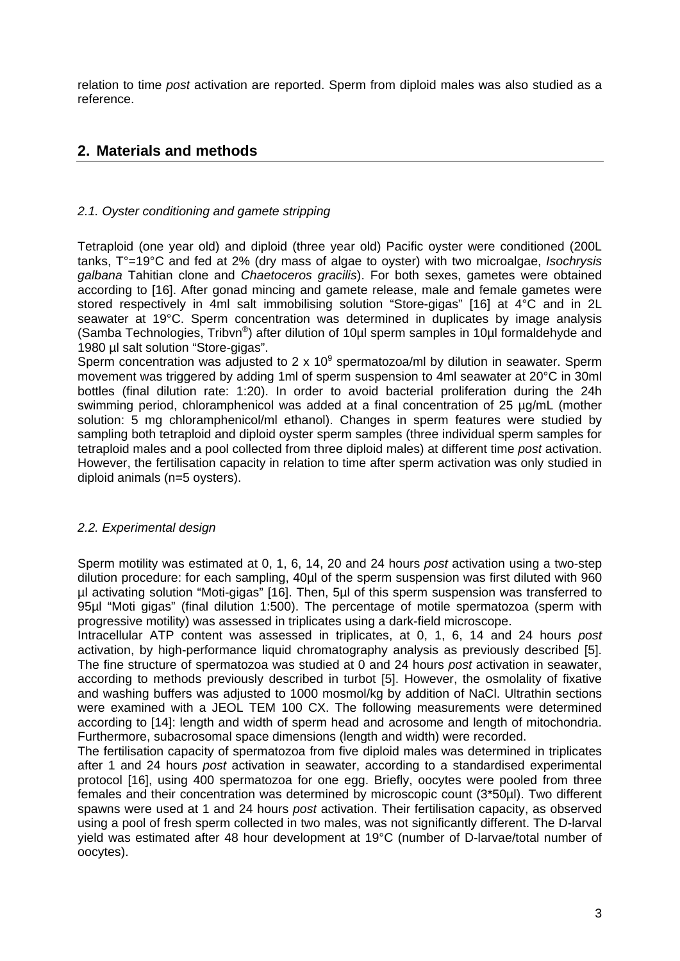relation to time *post* activation are reported. Sperm from diploid males was also studied as a reference.

### **2. Materials and methods**

#### *2.1. Oyster conditioning and gamete stripping*

Tetraploid (one year old) and diploid (three year old) Pacific oyster were conditioned (200L tanks, T°=19°C and fed at 2% (dry mass of algae to oyster) with two microalgae, *Isochrysis galbana* Tahitian clone and *Chaetoceros gracilis*). For both sexes, gametes were obtained according to [16]. After gonad mincing and gamete release, male and female gametes were stored respectively in 4ml salt immobilising solution "Store-gigas" [16] at 4°C and in 2L seawater at 19°C. Sperm concentration was determined in duplicates by image analysis (Samba Technologies, Tribvn®) after dilution of 10µl sperm samples in 10µl formaldehyde and 1980 µl salt solution "Store-gigas".

Sperm concentration was adjusted to 2 x  $10^9$  spermatozoa/ml by dilution in seawater. Sperm movement was triggered by adding 1ml of sperm suspension to 4ml seawater at 20°C in 30ml bottles (final dilution rate: 1:20). In order to avoid bacterial proliferation during the 24h swimming period, chloramphenicol was added at a final concentration of 25 µg/mL (mother solution: 5 mg chloramphenicol/ml ethanol). Changes in sperm features were studied by sampling both tetraploid and diploid oyster sperm samples (three individual sperm samples for tetraploid males and a pool collected from three diploid males) at different time *post* activation. However, the fertilisation capacity in relation to time after sperm activation was only studied in diploid animals (n=5 oysters).

#### *2.2. Experimental design*

Sperm motility was estimated at 0, 1, 6, 14, 20 and 24 hours *post* activation using a two-step dilution procedure: for each sampling, 40µl of the sperm suspension was first diluted with 960 µl activating solution "Moti-gigas" [16]. Then, 5µl of this sperm suspension was transferred to 95µl "Moti gigas" (final dilution 1:500). The percentage of motile spermatozoa (sperm with progressive motility) was assessed in triplicates using a dark-field microscope.

Intracellular ATP content was assessed in triplicates, at 0, 1, 6, 14 and 24 hours *post* activation, by high-performance liquid chromatography analysis as previously described [5]. The fine structure of spermatozoa was studied at 0 and 24 hours *post* activation in seawater, according to methods previously described in turbot [5]. However, the osmolality of fixative and washing buffers was adjusted to 1000 mosmol/kg by addition of NaCl. Ultrathin sections were examined with a JEOL TEM 100 CX. The following measurements were determined according to [14]: length and width of sperm head and acrosome and length of mitochondria. Furthermore, subacrosomal space dimensions (length and width) were recorded.

The fertilisation capacity of spermatozoa from five diploid males was determined in triplicates after 1 and 24 hours *post* activation in seawater, according to a standardised experimental protocol [16], using 400 spermatozoa for one egg. Briefly, oocytes were pooled from three females and their concentration was determined by microscopic count (3\*50µl). Two different spawns were used at 1 and 24 hours *post* activation. Their fertilisation capacity, as observed using a pool of fresh sperm collected in two males, was not significantly different. The D-larval yield was estimated after 48 hour development at 19°C (number of D-larvae/total number of oocytes).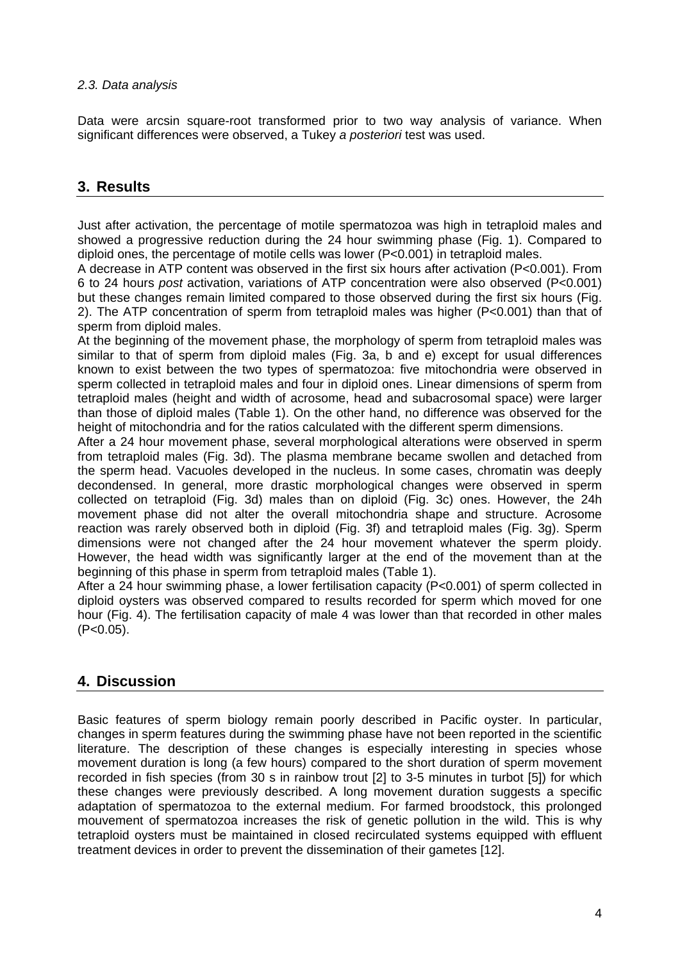#### *2.3. Data analysis*

Data were arcsin square-root transformed prior to two way analysis of variance. When significant differences were observed, a Tukey *a posteriori* test was used.

### **3. Results**

Just after activation, the percentage of motile spermatozoa was high in tetraploid males and showed a progressive reduction during the 24 hour swimming phase (Fig. 1). Compared to diploid ones, the percentage of motile cells was lower (P<0.001) in tetraploid males.

A decrease in ATP content was observed in the first six hours after activation (P<0.001). From 6 to 24 hours *post* activation, variations of ATP concentration were also observed (P<0.001) but these changes remain limited compared to those observed during the first six hours (Fig. 2). The ATP concentration of sperm from tetraploid males was higher (P<0.001) than that of sperm from diploid males.

At the beginning of the movement phase, the morphology of sperm from tetraploid males was similar to that of sperm from diploid males (Fig. 3a, b and e) except for usual differences known to exist between the two types of spermatozoa: five mitochondria were observed in sperm collected in tetraploid males and four in diploid ones. Linear dimensions of sperm from tetraploid males (height and width of acrosome, head and subacrosomal space) were larger than those of diploid males (Table 1). On the other hand, no difference was observed for the height of mitochondria and for the ratios calculated with the different sperm dimensions.

After a 24 hour movement phase, several morphological alterations were observed in sperm from tetraploid males (Fig. 3d). The plasma membrane became swollen and detached from the sperm head. Vacuoles developed in the nucleus. In some cases, chromatin was deeply decondensed. In general, more drastic morphological changes were observed in sperm collected on tetraploid (Fig. 3d) males than on diploid (Fig. 3c) ones. However, the 24h movement phase did not alter the overall mitochondria shape and structure. Acrosome reaction was rarely observed both in diploid (Fig. 3f) and tetraploid males (Fig. 3g). Sperm dimensions were not changed after the 24 hour movement whatever the sperm ploidy. However, the head width was significantly larger at the end of the movement than at the beginning of this phase in sperm from tetraploid males (Table 1).

After a 24 hour swimming phase, a lower fertilisation capacity (P<0.001) of sperm collected in diploid oysters was observed compared to results recorded for sperm which moved for one hour (Fig. 4). The fertilisation capacity of male 4 was lower than that recorded in other males  $(P<0.05)$ .

## **4. Discussion**

Basic features of sperm biology remain poorly described in Pacific oyster. In particular, changes in sperm features during the swimming phase have not been reported in the scientific literature. The description of these changes is especially interesting in species whose movement duration is long (a few hours) compared to the short duration of sperm movement recorded in fish species (from 30 s in rainbow trout [2] to 3-5 minutes in turbot [5]) for which these changes were previously described. A long movement duration suggests a specific adaptation of spermatozoa to the external medium. For farmed broodstock, this prolonged mouvement of spermatozoa increases the risk of genetic pollution in the wild. This is why tetraploid oysters must be maintained in closed recirculated systems equipped with effluent treatment devices in order to prevent the dissemination of their gametes [12].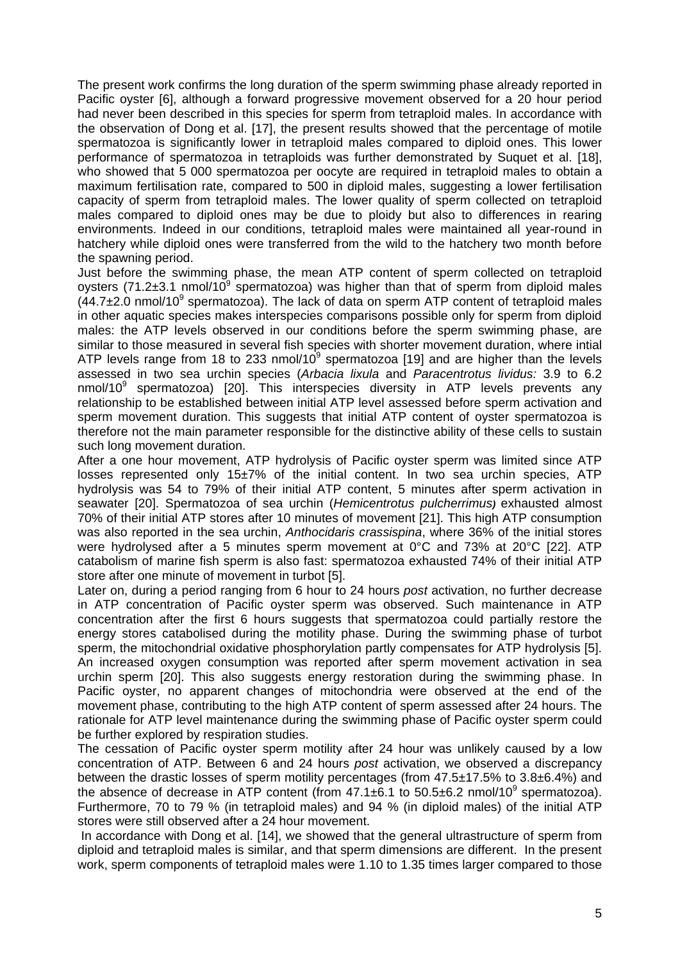The present work confirms the long duration of the sperm swimming phase already reported in Pacific oyster [6], although a forward progressive movement observed for a 20 hour period had never been described in this species for sperm from tetraploid males. In accordance with the observation of Dong et al. [17], the present results showed that the percentage of motile spermatozoa is significantly lower in tetraploid males compared to diploid ones. This lower performance of spermatozoa in tetraploids was further demonstrated by Suquet et al. [18], who showed that 5 000 spermatozoa per oocyte are required in tetraploid males to obtain a maximum fertilisation rate, compared to 500 in diploid males, suggesting a lower fertilisation capacity of sperm from tetraploid males. The lower quality of sperm collected on tetraploid males compared to diploid ones may be due to ploidy but also to differences in rearing environments. Indeed in our conditions, tetraploid males were maintained all year-round in hatchery while diploid ones were transferred from the wild to the hatchery two month before the spawning period.

Just before the swimming phase, the mean ATP content of sperm collected on tetraploid oysters (71.2 $\pm$ 3.1 nmol/10<sup>9</sup> spermatozoa) was higher than that of sperm from diploid males  $(44.7\pm2.0 \text{ nmol}/10^9 \text{ spermatozoa})$ . The lack of data on sperm ATP content of tetraploid males in other aquatic species makes interspecies comparisons possible only for sperm from diploid males: the ATP levels observed in our conditions before the sperm swimming phase, are similar to those measured in several fish species with shorter movement duration, where intial ATP levels range from 18 to 233 nmol/10 $^{9}$  spermatozoa [19] and are higher than the levels assessed in two sea urchin species (*Arbacia lixula* and *Paracentrotus lividus:* 3.9 to 6.2 nmol/10 $9$  spermatozoa) [20]. This interspecies diversity in ATP levels prevents any relationship to be established between initial ATP level assessed before sperm activation and sperm movement duration. This suggests that initial ATP content of oyster spermatozoa is therefore not the main parameter responsible for the distinctive ability of these cells to sustain such long movement duration.

After a one hour movement, ATP hydrolysis of Pacific oyster sperm was limited since ATP losses represented only 15±7% of the initial content. In two sea urchin species, ATP hydrolysis was 54 to 79% of their initial ATP content, 5 minutes after sperm activation in seawater [20]. Spermatozoa of sea urchin (*Hemicentrotus pulcherrimus)* exhausted almost 70% of their initial ATP stores after 10 minutes of movement [21]. This high ATP consumption was also reported in the sea urchin, *Anthocidaris crassispina*, where 36% of the initial stores were hydrolysed after a 5 minutes sperm movement at 0°C and 73% at 20°C [22]. ATP catabolism of marine fish sperm is also fast: spermatozoa exhausted 74% of their initial ATP store after one minute of movement in turbot [5].

Later on, during a period ranging from 6 hour to 24 hours *post* activation, no further decrease in ATP concentration of Pacific oyster sperm was observed. Such maintenance in ATP concentration after the first 6 hours suggests that spermatozoa could partially restore the energy stores catabolised during the motility phase. During the swimming phase of turbot sperm, the mitochondrial oxidative phosphorylation partly compensates for ATP hydrolysis [5]. An increased oxygen consumption was reported after sperm movement activation in sea urchin sperm [20]. This also suggests energy restoration during the swimming phase. In Pacific oyster, no apparent changes of mitochondria were observed at the end of the movement phase, contributing to the high ATP content of sperm assessed after 24 hours. The rationale for ATP level maintenance during the swimming phase of Pacific oyster sperm could be further explored by respiration studies.

The cessation of Pacific oyster sperm motility after 24 hour was unlikely caused by a low concentration of ATP. Between 6 and 24 hours *post* activation, we observed a discrepancy between the drastic losses of sperm motility percentages (from 47.5±17.5% to 3.8±6.4%) and the absence of decrease in ATP content (from  $47.1\pm6.1$  to  $50.5\pm6.2$  nmol/10<sup>9</sup> spermatozoa). Furthermore, 70 to 79 % (in tetraploid males) and 94 % (in diploid males) of the initial ATP stores were still observed after a 24 hour movement.

In accordance with Dong et al. [14], we showed that the general ultrastructure of sperm from diploid and tetraploid males is similar, and that sperm dimensions are different. In the present work, sperm components of tetraploid males were 1.10 to 1.35 times larger compared to those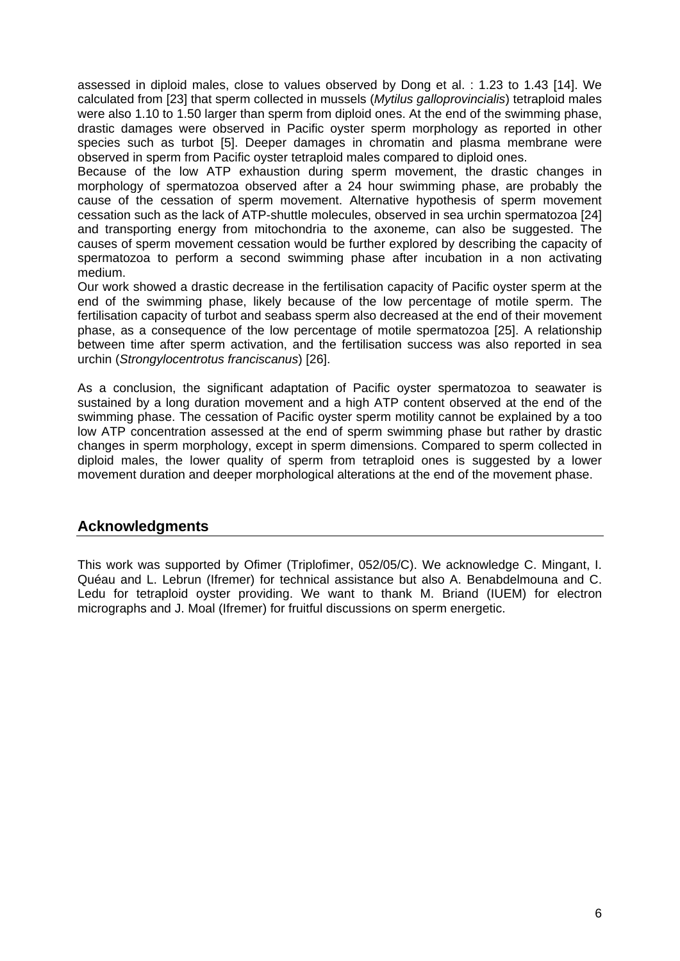assessed in diploid males, close to values observed by Dong et al. : 1.23 to 1.43 [14]. We calculated from [23] that sperm collected in mussels (*Mytilus galloprovincialis*) tetraploid males were also 1.10 to 1.50 larger than sperm from diploid ones. At the end of the swimming phase, drastic damages were observed in Pacific oyster sperm morphology as reported in other species such as turbot [5]. Deeper damages in chromatin and plasma membrane were observed in sperm from Pacific oyster tetraploid males compared to diploid ones.

Because of the low ATP exhaustion during sperm movement, the drastic changes in morphology of spermatozoa observed after a 24 hour swimming phase, are probably the cause of the cessation of sperm movement. Alternative hypothesis of sperm movement cessation such as the lack of ATP-shuttle molecules, observed in sea urchin spermatozoa [24] and transporting energy from mitochondria to the axoneme, can also be suggested. The causes of sperm movement cessation would be further explored by describing the capacity of spermatozoa to perform a second swimming phase after incubation in a non activating medium.

Our work showed a drastic decrease in the fertilisation capacity of Pacific oyster sperm at the end of the swimming phase, likely because of the low percentage of motile sperm. The fertilisation capacity of turbot and seabass sperm also decreased at the end of their movement phase, as a consequence of the low percentage of motile spermatozoa [25]. A relationship between time after sperm activation, and the fertilisation success was also reported in sea urchin (*Strongylocentrotus franciscanus*) [26].

As a conclusion, the significant adaptation of Pacific oyster spermatozoa to seawater is sustained by a long duration movement and a high ATP content observed at the end of the swimming phase. The cessation of Pacific oyster sperm motility cannot be explained by a too low ATP concentration assessed at the end of sperm swimming phase but rather by drastic changes in sperm morphology, except in sperm dimensions. Compared to sperm collected in diploid males, the lower quality of sperm from tetraploid ones is suggested by a lower movement duration and deeper morphological alterations at the end of the movement phase.

### **Acknowledgments**

This work was supported by Ofimer (Triplofimer, 052/05/C). We acknowledge C. Mingant, I. Quéau and L. Lebrun (Ifremer) for technical assistance but also A. Benabdelmouna and C. Ledu for tetraploid oyster providing. We want to thank M. Briand (IUEM) for electron micrographs and J. Moal (Ifremer) for fruitful discussions on sperm energetic.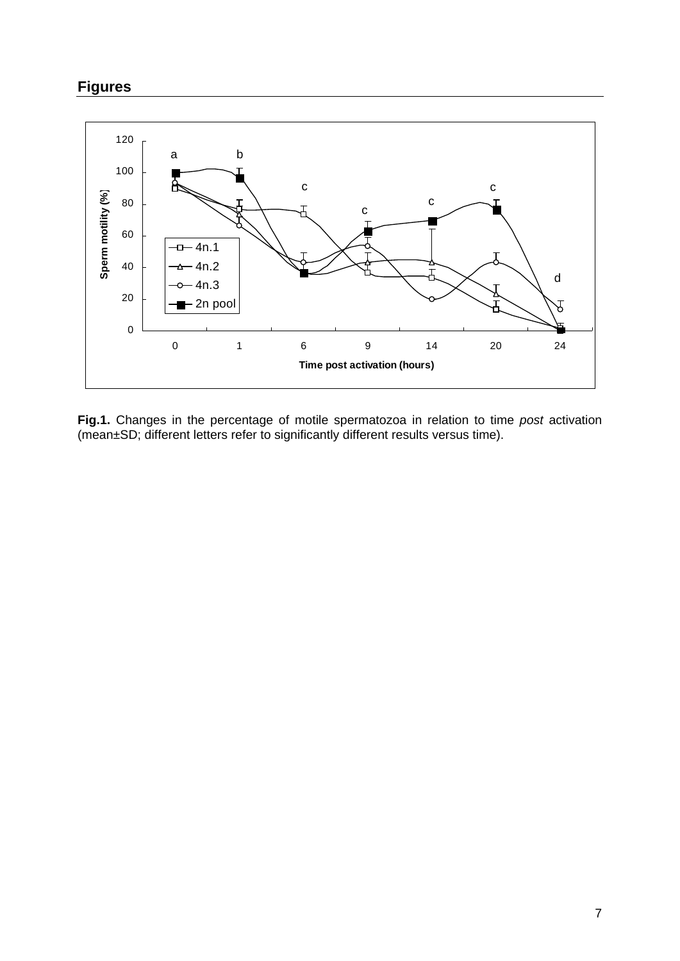# **Figures**



**Fig.1.** Changes in the percentage of motile spermatozoa in relation to time *post* activation (mean±SD; different letters refer to significantly different results versus time).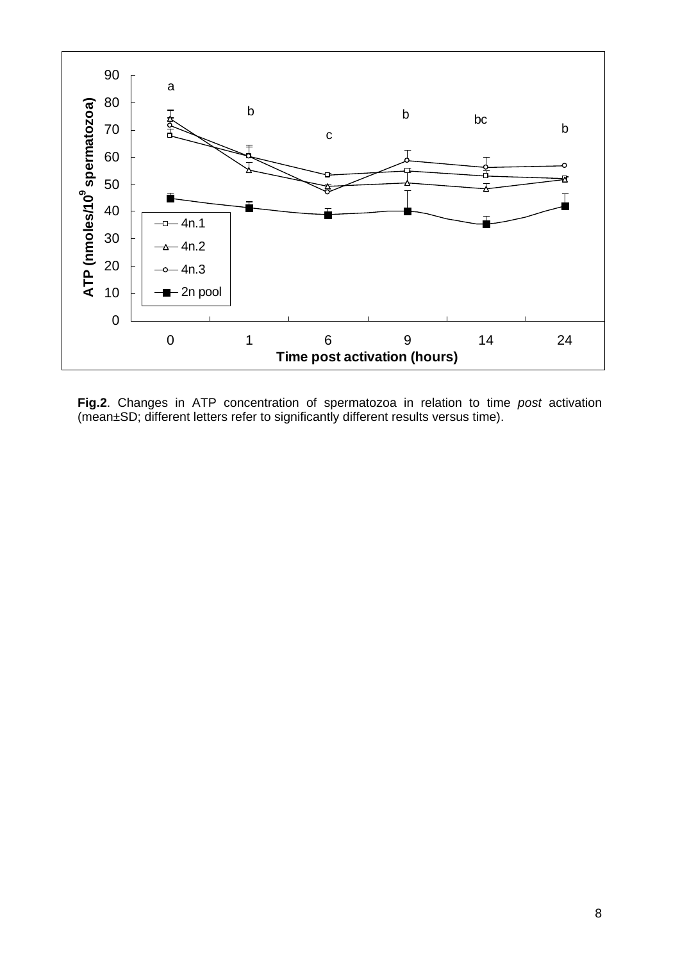

**Fig.2**. Changes in ATP concentration of spermatozoa in relation to time *post* activation (mean±SD; different letters refer to significantly different results versus time).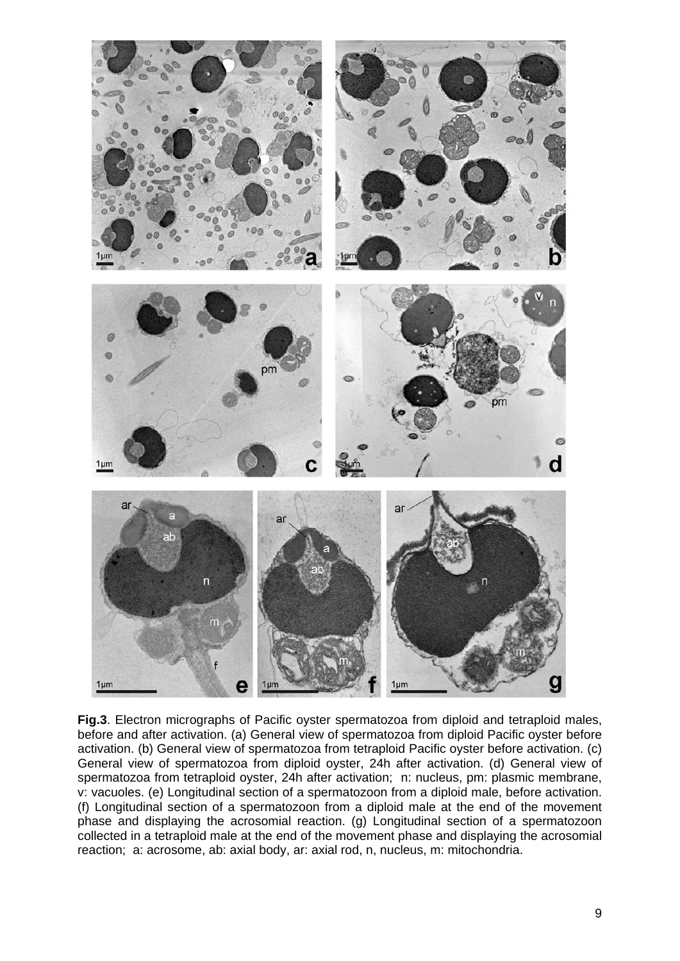

**Fig.3**. Electron micrographs of Pacific oyster spermatozoa from diploid and tetraploid males, before and after activation. (a) General view of spermatozoa from diploid Pacific oyster before activation. (b) General view of spermatozoa from tetraploid Pacific oyster before activation. (c) General view of spermatozoa from diploid oyster, 24h after activation. (d) General view of spermatozoa from tetraploid oyster, 24h after activation; n: nucleus, pm: plasmic membrane, v: vacuoles. (e) Longitudinal section of a spermatozoon from a diploid male, before activation. (f) Longitudinal section of a spermatozoon from a diploid male at the end of the movement phase and displaying the acrosomial reaction. (g) Longitudinal section of a spermatozoon collected in a tetraploid male at the end of the movement phase and displaying the acrosomial reaction; a: acrosome, ab: axial body, ar: axial rod, n, nucleus, m: mitochondria.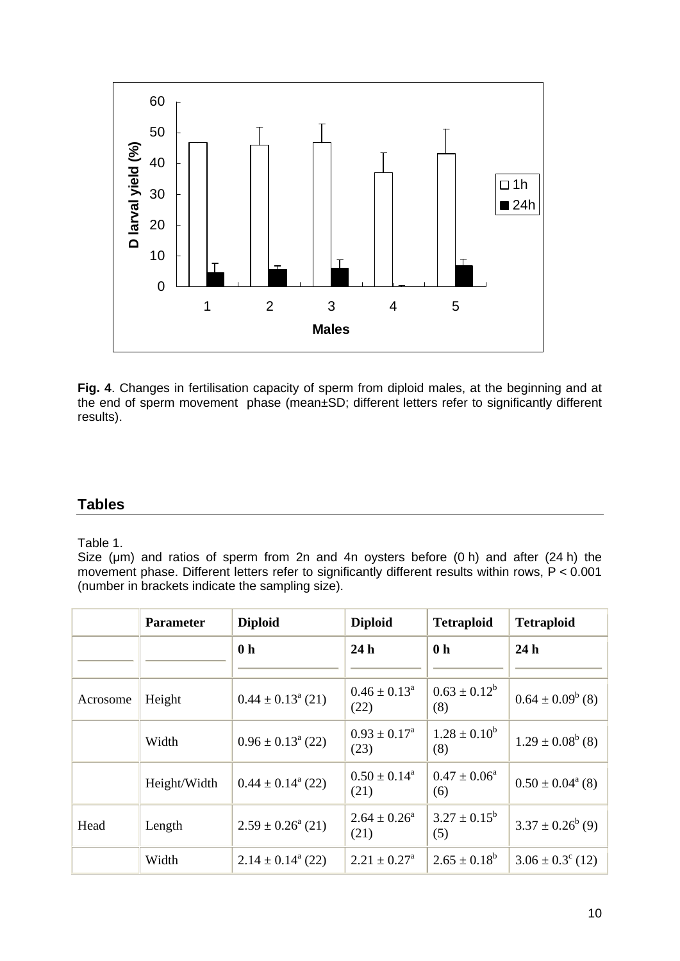

**Fig. 4**. Changes in fertilisation capacity of sperm from diploid males, at the beginning and at the end of sperm movement phase (mean±SD; different letters refer to significantly different results).

### **Tables**

Table 1.

Size (um) and ratios of sperm from 2n and 4n oysters before (0 h) and after (24 h) the movement phase. Different letters refer to significantly different results within rows, P < 0.001 (number in brackets indicate the sampling size).

|          | <b>Parameter</b> | <b>Diploid</b>               | <b>Diploid</b>                     | <b>Tetraploid</b>        | <b>Tetraploid</b>           |
|----------|------------------|------------------------------|------------------------------------|--------------------------|-----------------------------|
|          |                  | 0 <sub>h</sub>               | 24h                                | 0 <sub>h</sub>           | 24h                         |
| Acrosome | Height           | $0.44 \pm 0.13^{\circ}$ (21) | $0.46 \pm 0.13^a$<br>(22)          | $0.63 \pm 0.12^b$<br>(8) | $0.64 \pm 0.09^b$ (8)       |
|          | Width            | $0.96 \pm 0.13^{\circ}$ (22) | $0.93 \pm 0.17^{\text{a}}$<br>(23) | $1.28 \pm 0.10^b$<br>(8) | $1.29 \pm 0.08^b$ (8)       |
|          | Height/Width     | $0.44 \pm 0.14^{\circ}$ (22) | $0.50 \pm 0.14^{\circ}$<br>(21)    | $0.47 \pm 0.06^a$<br>(6) | $0.50 \pm 0.04^{\circ}$ (8) |
| Head     | Length           | $2.59 \pm 0.26^{\circ}$ (21) | $2.64 \pm 0.26^{\circ}$<br>(21)    | $3.27 \pm 0.15^b$<br>(5) | $3.37 \pm 0.26^{b}$ (9)     |
|          | Width            | $2.14 \pm 0.14^{\circ}$ (22) | $2.21 \pm 0.27^{\circ}$            | $2.65 \pm 0.18^b$        | $3.06 \pm 0.3^{\circ}$ (12) |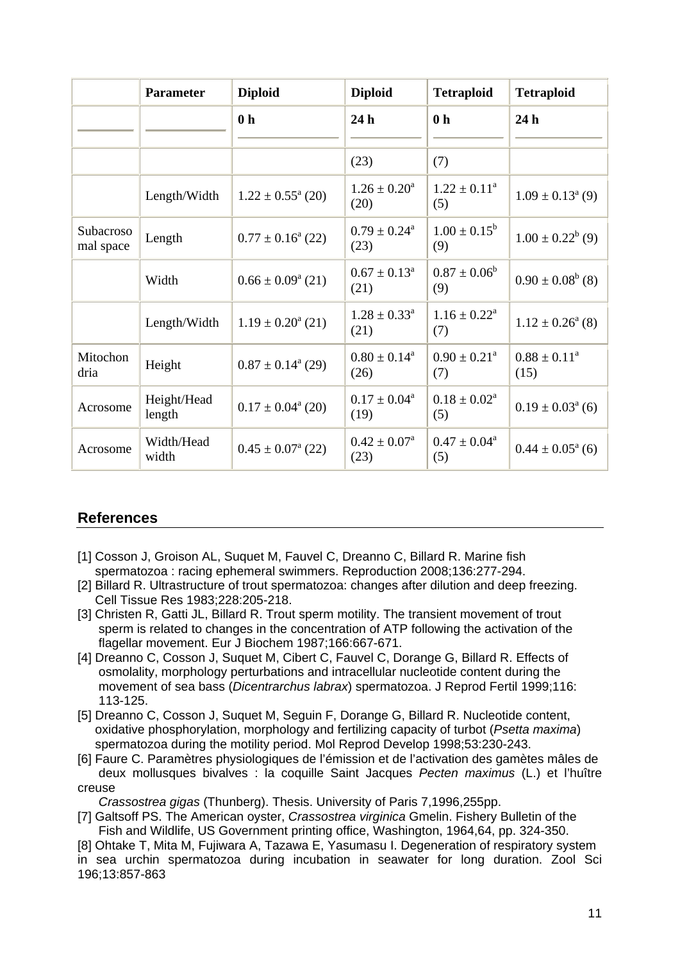|                        | <b>Parameter</b>      | <b>Diploid</b>                  | <b>Diploid</b>                     | <b>Tetraploid</b>                 | <b>Tetraploid</b>              |
|------------------------|-----------------------|---------------------------------|------------------------------------|-----------------------------------|--------------------------------|
|                        |                       | 0 <sub>h</sub>                  | 24 <sub>h</sub>                    | 0 <sub>h</sub>                    | 24h                            |
|                        |                       |                                 |                                    |                                   |                                |
|                        |                       |                                 | (23)                               | (7)                               |                                |
|                        | Length/Width          | $1.22 \pm 0.55^{\circ}$ (20)    | $1.26 \pm 0.20^a$<br>(20)          | $1.22 \pm 0.11^a$<br>(5)          | $1.09 \pm 0.13^{\text{a}}$ (9) |
| Subacroso<br>mal space | Length                | $0.77 \pm 0.16^{\circ}$ (22)    | $0.79 \pm 0.24^{\text{a}}$<br>(23) | $1.00 \pm 0.15^b$<br>(9)          | $1.00 \pm 0.22^b$ (9)          |
|                        | Width                 | $0.66 \pm 0.09^{\circ}$ (21)    | $0.67 \pm 0.13^{\text{a}}$<br>(21) | $0.87 \pm 0.06^b$<br>(9)          | $0.90 \pm 0.08^b$ (8)          |
|                        | Length/Width          | $1.19 \pm 0.20^{\circ}$ (21)    | $1.28 \pm 0.33^{\text{a}}$<br>(21) | $1.16 \pm 0.22^{\text{a}}$<br>(7) | $1.12 \pm 0.26^{\circ}$ (8)    |
| Mitochon<br>dria       | Height                | $0.87 \pm 0.14^{\circ}$ (29)    | $0.80 \pm 0.14^a$<br>(26)          | $0.90 \pm 0.21^a$<br>(7)          | $0.88 \pm 0.11^a$<br>(15)      |
| Acrosome               | Height/Head<br>length | $0.17 \pm 0.04^{\circ}$ (20)    | $0.17 \pm 0.04^a$<br>(19)          | $0.18 \pm 0.02^a$<br>(5)          | $0.19 \pm 0.03^{\text{a}}$ (6) |
| Acrosome               | Width/Head<br>width   | $0.45 \pm 0.07^{\text{a}}$ (22) | $0.42 \pm 0.07^a$<br>(23)          | $0.47 \pm 0.04^a$<br>(5)          | $0.44 \pm 0.05^{\text{a}}$ (6) |

### **References**

- [1] Cosson J, Groison AL, Suquet M, Fauvel C, Dreanno C, Billard R. Marine fish spermatozoa : racing ephemeral swimmers. Reproduction 2008;136:277-294.
- [2] Billard R. Ultrastructure of trout spermatozoa: changes after dilution and deep freezing. Cell Tissue Res 1983;228:205-218.
- [3] Christen R, Gatti JL, Billard R. Trout sperm motility. The transient movement of trout sperm is related to changes in the concentration of ATP following the activation of the flagellar movement. Eur J Biochem 1987;166:667-671.
- [4] Dreanno C, Cosson J, Suquet M, Cibert C, Fauvel C, Dorange G, Billard R. Effects of osmolality, morphology perturbations and intracellular nucleotide content during the movement of sea bass (*Dicentrarchus labrax*) spermatozoa. J Reprod Fertil 1999;116: 113-125.
- [5] Dreanno C, Cosson J, Suquet M, Seguin F, Dorange G, Billard R. Nucleotide content, oxidative phosphorylation, morphology and fertilizing capacity of turbot (*Psetta maxima*) spermatozoa during the motility period. Mol Reprod Develop 1998;53:230-243.
- [6] Faure C. Paramètres physiologiques de l'émission et de l'activation des gamètes mâles de deux mollusques bivalves : la coquille Saint Jacques *Pecten maximus* (L.) et l'huître creuse

*Crassostrea gigas* (Thunberg). Thesis. University of Paris 7,1996,255pp.

[7] Galtsoff PS. The American oyster, *Crassostrea virginica* Gmelin. Fishery Bulletin of the Fish and Wildlife, US Government printing office, Washington, 1964,64, pp. 324-350.

[8] Ohtake T, Mita M, Fujiwara A, Tazawa E, Yasumasu I. Degeneration of respiratory system in sea urchin spermatozoa during incubation in seawater for long duration. Zool Sci 196;13:857-863